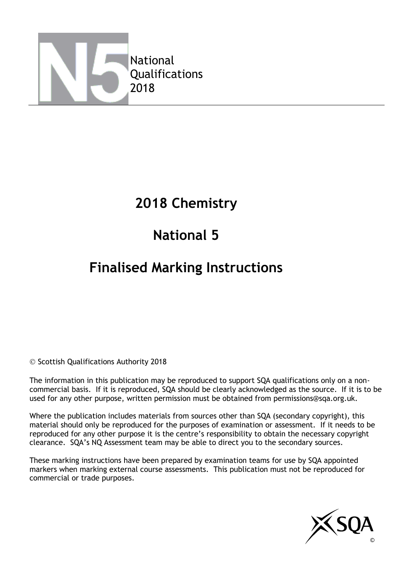

## **2018 Chemistry**

# **National 5**

# **Finalised Marking Instructions**

© Scottish Qualifications Authority 2018

The information in this publication may be reproduced to support SQA qualifications only on a noncommercial basis. If it is reproduced, SQA should be clearly acknowledged as the source. If it is to be used for any other purpose, written permission must be obtained from permissions@sqa.org.uk.

Where the publication includes materials from sources other than SQA (secondary copyright), this material should only be reproduced for the purposes of examination or assessment. If it needs to be reproduced for any other purpose it is the centre's responsibility to obtain the necessary copyright clearance. SQA's NQ Assessment team may be able to direct you to the secondary sources.

These marking instructions have been prepared by examination teams for use by SQA appointed markers when marking external course assessments. This publication must not be reproduced for commercial or trade purposes.

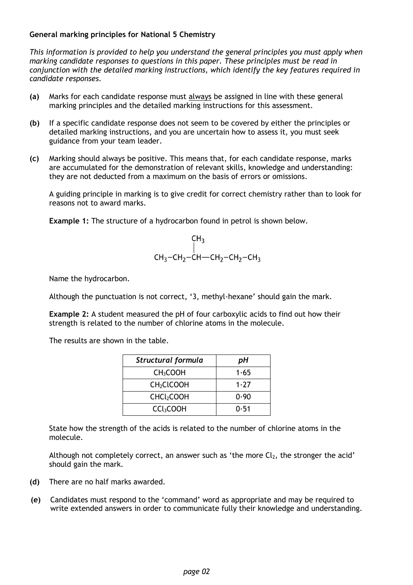#### **General marking principles for National 5 Chemistry**

*This information is provided to help you understand the general principles you must apply when marking candidate responses to questions in this paper. These principles must be read in conjunction with the detailed marking instructions, which identify the key features required in candidate responses.*

- **(a)** Marks for each candidate response must always be assigned in line with these general marking principles and the detailed marking instructions for this assessment.
- **(b)** If a specific candidate response does not seem to be covered by either the principles or detailed marking instructions, and you are uncertain how to assess it, you must seek guidance from your team leader.
- **(c)** Marking should always be positive. This means that, for each candidate response, marks are accumulated for the demonstration of relevant skills, knowledge and understanding: they are not deducted from a maximum on the basis of errors or omissions.

A guiding principle in marking is to give credit for correct chemistry rather than to look for reasons not to award marks.

**Example 1:** The structure of a hydrocarbon found in petrol is shown below.

$$
CH_3
$$
  
|-  
CH<sub>3</sub>-CH<sub>2</sub>-CH—CH<sub>2</sub>-CH<sub>2</sub>-CH<sub>3</sub>

Name the hydrocarbon.

Although the punctuation is not correct, '3, methyl-hexane' should gain the mark.

**Example 2:** A student measured the pH of four carboxylic acids to find out how their strength is related to the number of chlorine atoms in the molecule.

The results are shown in the table.

| Structural formula     | рH   |
|------------------------|------|
| CH <sub>3</sub> COOH   | 1.65 |
| CH <sub>2</sub> CLCOOH | 1.77 |
| CHCl <sub>2</sub> COOH | 0.90 |
| CCl <sub>3</sub> COOH  | 0.51 |

State how the strength of the acids is related to the number of chlorine atoms in the molecule.

Although not completely correct, an answer such as 'the more  $Cl<sub>2</sub>$ , the stronger the acid' should gain the mark.

- **(d)** There are no half marks awarded.
- **(e)** Candidates must respond to the 'command' word as appropriate and may be required to write extended answers in order to communicate fully their knowledge and understanding.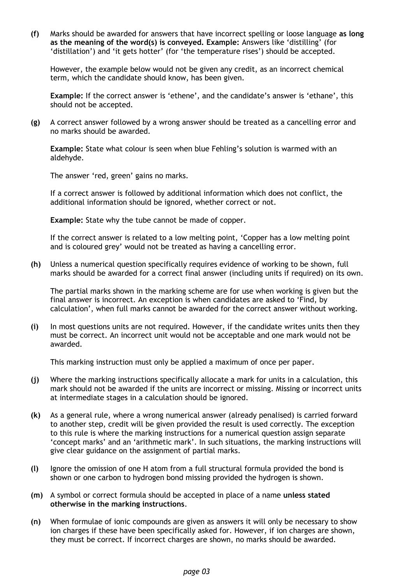**(f)** Marks should be awarded for answers that have incorrect spelling or loose language **as long as the meaning of the word(s) is conveyed. Example:** Answers like 'distilling' (for 'distillation') and 'it gets hotter' (for 'the temperature rises') should be accepted.

However, the example below would not be given any credit, as an incorrect chemical term, which the candidate should know, has been given.

**Example:** If the correct answer is 'ethene', and the candidate's answer is 'ethane', this should not be accepted.

**(g)** A correct answer followed by a wrong answer should be treated as a cancelling error and no marks should be awarded.

**Example:** State what colour is seen when blue Fehling's solution is warmed with an aldehyde.

The answer 'red, green' gains no marks.

If a correct answer is followed by additional information which does not conflict, the additional information should be ignored, whether correct or not.

**Example:** State why the tube cannot be made of copper.

If the correct answer is related to a low melting point, 'Copper has a low melting point and is coloured grey' would not be treated as having a cancelling error.

**(h)** Unless a numerical question specifically requires evidence of working to be shown, full marks should be awarded for a correct final answer (including units if required) on its own.

The partial marks shown in the marking scheme are for use when working is given but the final answer is incorrect. An exception is when candidates are asked to 'Find, by calculation', when full marks cannot be awarded for the correct answer without working.

**(i)** In most questions units are not required. However, if the candidate writes units then they must be correct. An incorrect unit would not be acceptable and one mark would not be awarded.

This marking instruction must only be applied a maximum of once per paper.

- **(j)** Where the marking instructions specifically allocate a mark for units in a calculation, this mark should not be awarded if the units are incorrect or missing. Missing or incorrect units at intermediate stages in a calculation should be ignored.
- **(k)** As a general rule, where a wrong numerical answer (already penalised) is carried forward to another step, credit will be given provided the result is used correctly. The exception to this rule is where the marking instructions for a numerical question assign separate 'concept marks' and an 'arithmetic mark'. In such situations, the marking instructions will give clear guidance on the assignment of partial marks.
- **(l)** Ignore the omission of one H atom from a full structural formula provided the bond is shown or one carbon to hydrogen bond missing provided the hydrogen is shown.
- **(m)** A symbol or correct formula should be accepted in place of a name **unless stated otherwise in the marking instructions**.
- **(n)** When formulae of ionic compounds are given as answers it will only be necessary to show ion charges if these have been specifically asked for. However, if ion charges are shown, they must be correct. If incorrect charges are shown, no marks should be awarded.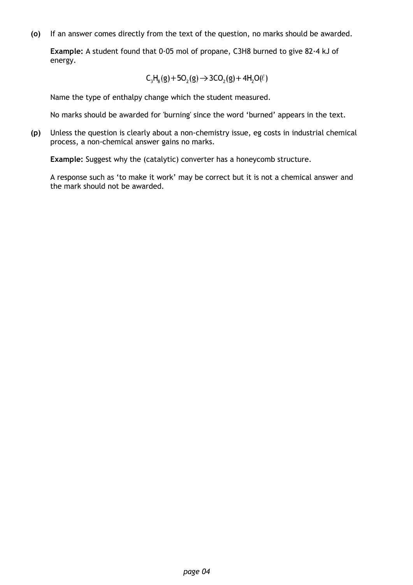**(o)** If an answer comes directly from the text of the question, no marks should be awarded.

**Example:** A student found that 0·05 mol of propane, C3H8 burned to give 82·4 kJ of energy.

$$
\mathsf{C}_3\mathsf{H}_8(g) + 5\mathsf{O}_2(g) \mathop{\rightarrow} 3\mathsf{CO}_2(g) + 4\mathsf{H}_2\mathsf{O}(\ell)
$$

Name the type of enthalpy change which the student measured.

No marks should be awarded for 'burning' since the word 'burned' appears in the text.

**(p)** Unless the question is clearly about a non-chemistry issue, eg costs in industrial chemical process, a non-chemical answer gains no marks.

**Example:** Suggest why the (catalytic) converter has a honeycomb structure.

A response such as 'to make it work' may be correct but it is not a chemical answer and the mark should not be awarded.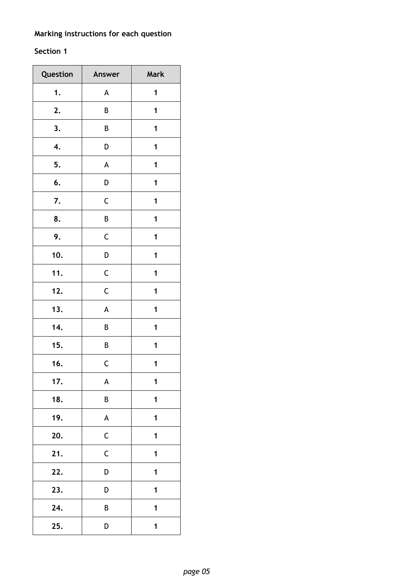### **Marking instructions for each question**

### **Section 1**

| Question | Answer      | Mark |
|----------|-------------|------|
| 1.       | A           | 1    |
| 2.       | B           | 1    |
| 3.       | В           | 1    |
| 4.       | D           | 1    |
| 5.       | A           | 1    |
| 6.       | D           | 1    |
| 7.       | $\mathsf C$ | 1    |
| 8.       | B           | 1    |
| 9.       | C           | 1    |
| 10.      | D           | 1    |
| 11.      | $\mathsf C$ | 1    |
| 12.      | $\mathsf C$ | 1    |
| 13.      | A           | 1    |
| 14.      | B           | 1    |
| 15.      | B           | 1    |
| 16.      | $\mathsf C$ | 1    |
| 17.      | A           | 1    |
| 18.      | B           | 1    |
| 19.      | A           | 1    |
| 20.      | $\mathsf C$ | 1    |
| 21.      | $\mathsf C$ | 1    |
| 22.      | D           | 1    |
| 23.      | D           | 1    |
| 24.      | B           | 1    |
| 25.      | D           | 1    |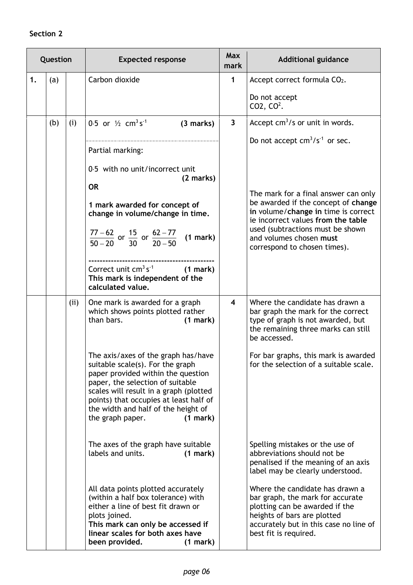#### **Section 2**

| Question |     |     | <b>Expected response</b>                                                                                                                                                                                                                                                                                                                                                                                                                                                                                                                                                                                                                                                                                                         | <b>Max</b><br>mark      | <b>Additional guidance</b>                                                                                                                                                                                                                                                                                                                                                                                                                                                                                                                                                                                  |
|----------|-----|-----|----------------------------------------------------------------------------------------------------------------------------------------------------------------------------------------------------------------------------------------------------------------------------------------------------------------------------------------------------------------------------------------------------------------------------------------------------------------------------------------------------------------------------------------------------------------------------------------------------------------------------------------------------------------------------------------------------------------------------------|-------------------------|-------------------------------------------------------------------------------------------------------------------------------------------------------------------------------------------------------------------------------------------------------------------------------------------------------------------------------------------------------------------------------------------------------------------------------------------------------------------------------------------------------------------------------------------------------------------------------------------------------------|
| 1.       | (a) |     | Carbon dioxide                                                                                                                                                                                                                                                                                                                                                                                                                                                                                                                                                                                                                                                                                                                   | $\mathbf{1}$            | Accept correct formula CO2.<br>Do not accept<br>CO2, $CO2$ .                                                                                                                                                                                                                                                                                                                                                                                                                                                                                                                                                |
|          | (b) | (i) | 0.5 or $\frac{1}{2}$ cm <sup>3</sup> s <sup>-1</sup><br>(3 marks)<br>Partial marking:<br>0.5 with no unit/incorrect unit<br>(2 marks)<br><b>OR</b><br>1 mark awarded for concept of<br>change in volume/change in time.<br>$\frac{77-62}{50-20}$ or $\frac{15}{30}$ or $\frac{62-77}{20-50}$ (1 mark)<br>Correct unit $cm^3 s^{-1}$<br>(1 mark)<br>This mark is independent of the<br>calculated value.                                                                                                                                                                                                                                                                                                                          | $\overline{3}$          | Accept $cm^3/s$ or unit in words.<br>Do not accept $cm^3/s^{-1}$ or sec.<br>The mark for a final answer can only<br>be awarded if the concept of change<br>in volume/change in time is correct<br>ie incorrect values from the table<br>used (subtractions must be shown<br>and volumes chosen must<br>correspond to chosen times).                                                                                                                                                                                                                                                                         |
|          |     | (i) | One mark is awarded for a graph<br>which shows points plotted rather<br>than bars.<br>(1 mark)<br>The axis/axes of the graph has/have<br>suitable scale(s). For the graph<br>paper provided within the question<br>paper, the selection of suitable<br>scales will result in a graph (plotted<br>points) that occupies at least half of<br>the width and half of the height of<br>the graph paper.<br>(1 mark)<br>The axes of the graph have suitable<br>labels and units.<br>(1 mark)<br>All data points plotted accurately<br>(within a half box tolerance) with<br>either a line of best fit drawn or<br>plots joined.<br>This mark can only be accessed if<br>linear scales for both axes have<br>been provided.<br>(1 mark) | $\overline{\mathbf{4}}$ | Where the candidate has drawn a<br>bar graph the mark for the correct<br>type of graph is not awarded, but<br>the remaining three marks can still<br>be accessed.<br>For bar graphs, this mark is awarded<br>for the selection of a suitable scale.<br>Spelling mistakes or the use of<br>abbreviations should not be<br>penalised if the meaning of an axis<br>label may be clearly understood.<br>Where the candidate has drawn a<br>bar graph, the mark for accurate<br>plotting can be awarded if the<br>heights of bars are plotted<br>accurately but in this case no line of<br>best fit is required. |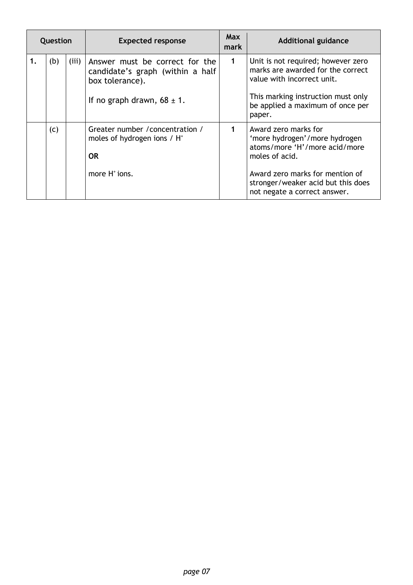| Question |     |       | <b>Expected response</b>                                                              | <b>Max</b><br>mark | <b>Additional guidance</b>                                                                               |
|----------|-----|-------|---------------------------------------------------------------------------------------|--------------------|----------------------------------------------------------------------------------------------------------|
| 1.       | (b) | (iii) | Answer must be correct for the<br>candidate's graph (within a half<br>box tolerance). | $\mathbf 1$        | Unit is not required; however zero<br>marks are awarded for the correct<br>value with incorrect unit.    |
|          |     |       | If no graph drawn, $68 \pm 1$ .                                                       |                    | This marking instruction must only<br>be applied a maximum of once per<br>paper.                         |
|          | (c) |       | Greater number / concentration /<br>moles of hydrogen ions $/ H^+$<br><b>OR</b>       | 1                  | Award zero marks for<br>'more hydrogen'/more hydrogen<br>atoms/more 'H'/more acid/more<br>moles of acid. |
|          |     |       | more $H^*$ ions.                                                                      |                    | Award zero marks for mention of<br>stronger/weaker acid but this does<br>not negate a correct answer.    |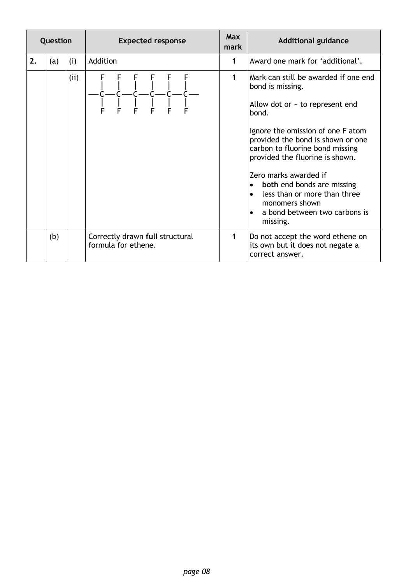| Question |     |      | <b>Expected response</b>                               |   | <b>Additional guidance</b>                                                                                                                                                                                                                                                                                                                                                                                                                             |
|----------|-----|------|--------------------------------------------------------|---|--------------------------------------------------------------------------------------------------------------------------------------------------------------------------------------------------------------------------------------------------------------------------------------------------------------------------------------------------------------------------------------------------------------------------------------------------------|
| 2.       | (a) | (i)  | Addition                                               | 1 | Award one mark for 'additional'.                                                                                                                                                                                                                                                                                                                                                                                                                       |
|          |     | (ii) |                                                        | 1 | Mark can still be awarded if one end<br>bond is missing.<br>Allow dot or $\sim$ to represent end<br>bond.<br>Ignore the omission of one F atom<br>provided the bond is shown or one<br>carbon to fluorine bond missing<br>provided the fluorine is shown.<br>Zero marks awarded if<br>both end bonds are missing<br>$\bullet$<br>less than or more than three<br>$\bullet$<br>monomers shown<br>a bond between two carbons is<br>$\bullet$<br>missing. |
|          | (b) |      | Correctly drawn full structural<br>formula for ethene. | 1 | Do not accept the word ethene on<br>its own but it does not negate a<br>correct answer.                                                                                                                                                                                                                                                                                                                                                                |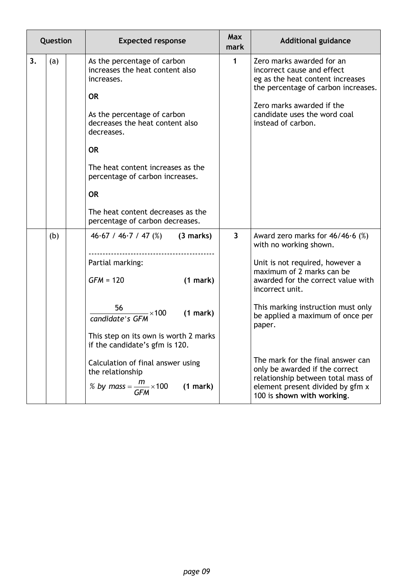|    | Question |  | <b>Expected response</b>                                                                                                                                                                                                                                                                                                                            | <b>Max</b><br>mark | <b>Additional guidance</b>                                                                                                                                                                                                                                                                                                                                                                                                                               |
|----|----------|--|-----------------------------------------------------------------------------------------------------------------------------------------------------------------------------------------------------------------------------------------------------------------------------------------------------------------------------------------------------|--------------------|----------------------------------------------------------------------------------------------------------------------------------------------------------------------------------------------------------------------------------------------------------------------------------------------------------------------------------------------------------------------------------------------------------------------------------------------------------|
| 3. | (a)      |  | As the percentage of carbon<br>increases the heat content also<br>increases.<br><b>OR</b><br>As the percentage of carbon<br>decreases the heat content also<br>decreases.<br><b>OR</b><br>The heat content increases as the<br>percentage of carbon increases.<br><b>OR</b><br>The heat content decreases as the<br>percentage of carbon decreases. | $\mathbf{1}$       | Zero marks awarded for an<br>incorrect cause and effect<br>eg as the heat content increases<br>the percentage of carbon increases.<br>Zero marks awarded if the<br>candidate uses the word coal<br>instead of carbon.                                                                                                                                                                                                                                    |
|    | (b)      |  | $46.67 / 46.7 / 47$ (%) (3 marks)<br>Partial marking:<br>$GFM = 120$<br>(1 mark)<br>56<br>(1 mark)<br>$-\times 100$<br>candidate's GFM<br>This step on its own is worth 2 marks<br>if the candidate's gfm is 120.<br>Calculation of final answer using<br>the relationship<br>% by mass = $\frac{m}{GFM} \times 100$<br>(1 mark)                    | $\mathbf{3}$       | Award zero marks for $46/46.6$ (%)<br>with no working shown.<br>Unit is not required, however a<br>maximum of 2 marks can be<br>awarded for the correct value with<br>incorrect unit.<br>This marking instruction must only<br>be applied a maximum of once per<br>paper.<br>The mark for the final answer can<br>only be awarded if the correct<br>relationship between total mass of<br>element present divided by gfm x<br>100 is shown with working. |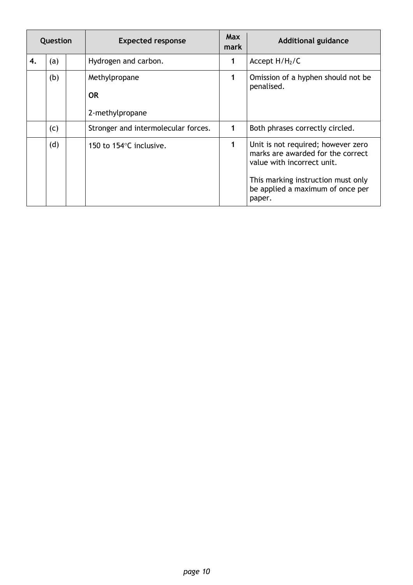| Question |     | <b>Expected response</b>            | <b>Max</b><br>mark | <b>Additional guidance</b>                                                                                                                                                                |
|----------|-----|-------------------------------------|--------------------|-------------------------------------------------------------------------------------------------------------------------------------------------------------------------------------------|
| 4.       | (a) | Hydrogen and carbon.                | 1                  | Accept $H/H2/C$                                                                                                                                                                           |
|          | (b) | Methylpropane<br><b>OR</b>          | 1                  | Omission of a hyphen should not be<br>penalised.                                                                                                                                          |
|          |     | 2-methylpropane                     |                    |                                                                                                                                                                                           |
|          | (c) | Stronger and intermolecular forces. | 1                  | Both phrases correctly circled.                                                                                                                                                           |
|          | (d) | 150 to 154°C inclusive.             | 1                  | Unit is not required; however zero<br>marks are awarded for the correct<br>value with incorrect unit.<br>This marking instruction must only<br>be applied a maximum of once per<br>paper. |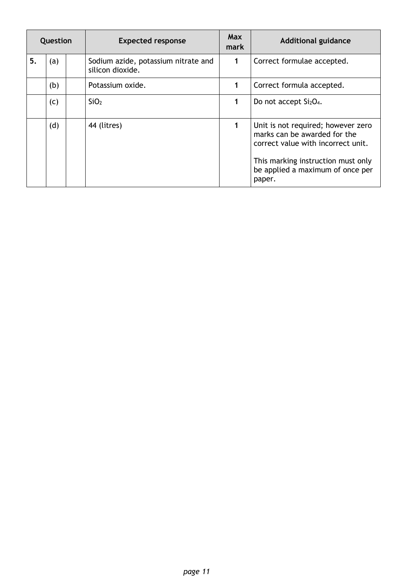| Question |     | <b>Expected response</b>                                | Max<br>mark | <b>Additional guidance</b>                                                                                                                                                                   |
|----------|-----|---------------------------------------------------------|-------------|----------------------------------------------------------------------------------------------------------------------------------------------------------------------------------------------|
| 5.       | (a) | Sodium azide, potassium nitrate and<br>silicon dioxide. | $\mathbf 1$ | Correct formulae accepted.                                                                                                                                                                   |
|          | (b) | Potassium oxide.                                        | 1           | Correct formula accepted.                                                                                                                                                                    |
|          | (c) | SiO <sub>2</sub>                                        | 1           | Do not accept $Si2O4$ .                                                                                                                                                                      |
|          | (d) | 44 (litres)                                             | 1           | Unit is not required; however zero<br>marks can be awarded for the<br>correct value with incorrect unit.<br>This marking instruction must only<br>be applied a maximum of once per<br>paper. |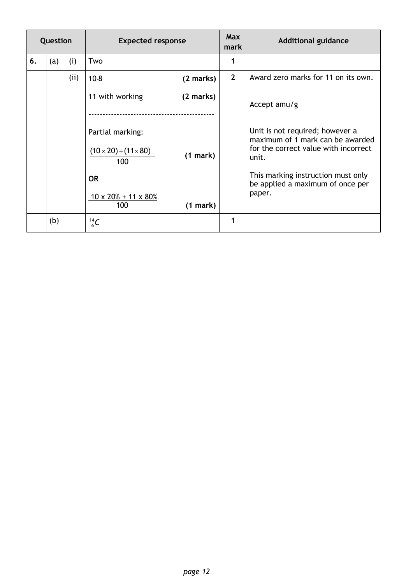| Question |     |      | <b>Expected response</b>                                                 |  | Max<br>mark      | <b>Additional guidance</b>                                                                                           |
|----------|-----|------|--------------------------------------------------------------------------|--|------------------|----------------------------------------------------------------------------------------------------------------------|
| 6.       | (a) | (i)  | Two                                                                      |  | 1                |                                                                                                                      |
|          |     | (ii) | $10-8$<br>(2 marks)                                                      |  | $2 \overline{ }$ | Award zero marks for 11 on its own.                                                                                  |
|          |     |      | 11 with working<br>(2 marks)                                             |  |                  | Accept amu/g                                                                                                         |
|          |     |      | Partial marking:<br>$(10 \times 20) + (11 \times 80)$<br>(1 mark)<br>100 |  |                  | Unit is not required; however a<br>maximum of 1 mark can be awarded<br>for the correct value with incorrect<br>unit. |
|          |     |      | <b>OR</b><br>$10 \times 20\% + 11 \times 80\%$<br>100<br>(1 mark)        |  |                  | This marking instruction must only<br>be applied a maximum of once per<br>paper.                                     |
|          | (b) |      | $^{14}_{6}C$                                                             |  | 1                |                                                                                                                      |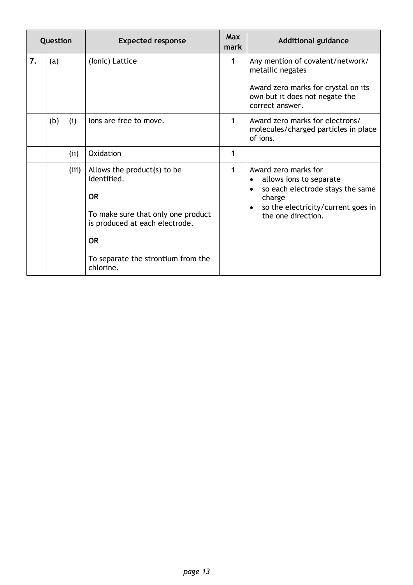| Question |     |       | <b>Expected response</b>                                                                                                                                                                        | <b>Max</b><br>mark | <b>Additional guidance</b>                                                                                                                                                                       |
|----------|-----|-------|-------------------------------------------------------------------------------------------------------------------------------------------------------------------------------------------------|--------------------|--------------------------------------------------------------------------------------------------------------------------------------------------------------------------------------------------|
| 7.       | (a) |       | (Ionic) Lattice                                                                                                                                                                                 | 1                  | Any mention of covalent/network/<br>metallic negates<br>Award zero marks for crystal on its<br>own but it does not negate the<br>correct answer.                                                 |
|          | (b) | (i)   | lons are free to move.                                                                                                                                                                          | 1                  | Award zero marks for electrons/<br>molecules/charged particles in place<br>of ions.                                                                                                              |
|          |     | (ii)  | Oxidation                                                                                                                                                                                       | 1                  |                                                                                                                                                                                                  |
|          |     | (iii) | Allows the product(s) to be<br>identified.<br><b>OR</b><br>To make sure that only one product<br>is produced at each electrode.<br><b>OR</b><br>To separate the strontium from the<br>chlorine. | 1                  | Award zero marks for<br>allows ions to separate<br>$\bullet$<br>so each electrode stays the same<br>$\bullet$<br>charge<br>so the electricity/current goes in<br>$\bullet$<br>the one direction. |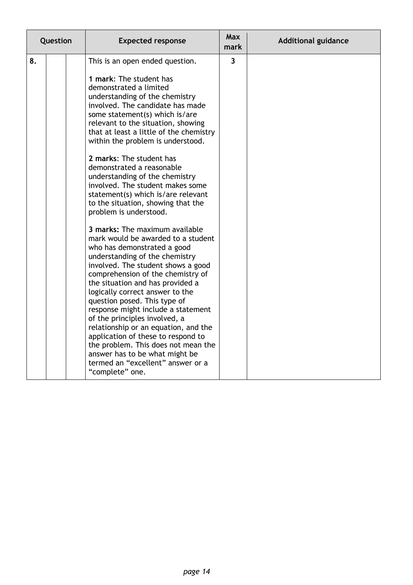| Question |  | <b>Expected response</b>                                                                                                                                                                                                                                                                                                                                                                                                                                                                                                                                                                                                                                                                                                                                                                                                                                                                                                                                                                                                                                                                                                                                                 | <b>Max</b><br>mark      | <b>Additional guidance</b> |
|----------|--|--------------------------------------------------------------------------------------------------------------------------------------------------------------------------------------------------------------------------------------------------------------------------------------------------------------------------------------------------------------------------------------------------------------------------------------------------------------------------------------------------------------------------------------------------------------------------------------------------------------------------------------------------------------------------------------------------------------------------------------------------------------------------------------------------------------------------------------------------------------------------------------------------------------------------------------------------------------------------------------------------------------------------------------------------------------------------------------------------------------------------------------------------------------------------|-------------------------|----------------------------|
| 8.       |  | This is an open ended question.<br>1 mark: The student has<br>demonstrated a limited<br>understanding of the chemistry<br>involved. The candidate has made<br>some statement(s) which is/are<br>relevant to the situation, showing<br>that at least a little of the chemistry<br>within the problem is understood.<br>2 marks: The student has<br>demonstrated a reasonable<br>understanding of the chemistry<br>involved. The student makes some<br>statement(s) which is/are relevant<br>to the situation, showing that the<br>problem is understood.<br>3 marks: The maximum available<br>mark would be awarded to a student<br>who has demonstrated a good<br>understanding of the chemistry<br>involved. The student shows a good<br>comprehension of the chemistry of<br>the situation and has provided a<br>logically correct answer to the<br>question posed. This type of<br>response might include a statement<br>of the principles involved, a<br>relationship or an equation, and the<br>application of these to respond to<br>the problem. This does not mean the<br>answer has to be what might be<br>termed an "excellent" answer or a<br>"complete" one. | $\overline{\mathbf{3}}$ |                            |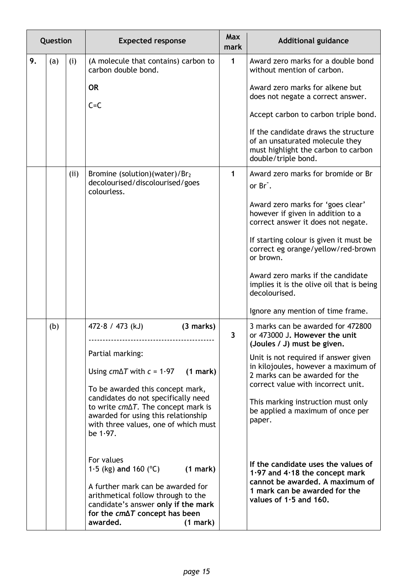|    | Question |      | <b>Expected response</b>                                                                                                                                                                                                                                                                                                                                                                                                                                                                                                                                                    | <b>Max</b><br>mark | <b>Additional guidance</b>                                                                                                                                                                                                                                                                                                                                                                                                                                                                                              |
|----|----------|------|-----------------------------------------------------------------------------------------------------------------------------------------------------------------------------------------------------------------------------------------------------------------------------------------------------------------------------------------------------------------------------------------------------------------------------------------------------------------------------------------------------------------------------------------------------------------------------|--------------------|-------------------------------------------------------------------------------------------------------------------------------------------------------------------------------------------------------------------------------------------------------------------------------------------------------------------------------------------------------------------------------------------------------------------------------------------------------------------------------------------------------------------------|
| 9. | (a)      | (i)  | (A molecule that contains) carbon to<br>carbon double bond.<br><b>OR</b><br>$C = C$                                                                                                                                                                                                                                                                                                                                                                                                                                                                                         | $\mathbf{1}$       | Award zero marks for a double bond<br>without mention of carbon.<br>Award zero marks for alkene but<br>does not negate a correct answer.<br>Accept carbon to carbon triple bond.<br>If the candidate draws the structure<br>of an unsaturated molecule they<br>must highlight the carbon to carbon<br>double/triple bond.                                                                                                                                                                                               |
|    |          | (ii) | Bromine (solution)(water)/Br2<br>decolourised/discolourised/goes<br>colourless.                                                                                                                                                                                                                                                                                                                                                                                                                                                                                             | 1                  | Award zero marks for bromide or Br<br>or Br.<br>Award zero marks for 'goes clear'<br>however if given in addition to a<br>correct answer it does not negate.<br>If starting colour is given it must be<br>correct eg orange/yellow/red-brown<br>or brown.<br>Award zero marks if the candidate<br>implies it is the olive oil that is being<br>decolourised.<br>Ignore any mention of time frame.                                                                                                                       |
|    | (b)      |      | $472.8 / 473$ (kJ)<br>(3 marks)<br>Partial marking:<br>Using $cm\Delta T$ with $c = 1.97$<br>(1 mark)<br>To be awarded this concept mark,<br>candidates do not specifically need<br>to write $cm\Delta T$ . The concept mark is<br>awarded for using this relationship<br>with three values, one of which must<br>be 1.97.<br>For values<br>1.5 (kg) and 160 ( $^{\circ}$ C)<br>(1 mark)<br>A further mark can be awarded for<br>arithmetical follow through to the<br>candidate's answer only if the mark<br>for the $cm\Delta T$ concept has been<br>awarded.<br>(1 mark) | 3                  | 3 marks can be awarded for 472800<br>or 473000 J. However the unit<br>(Joules / J) must be given.<br>Unit is not required if answer given<br>in kilojoules, however a maximum of<br>2 marks can be awarded for the<br>correct value with incorrect unit.<br>This marking instruction must only<br>be applied a maximum of once per<br>paper.<br>If the candidate uses the values of<br>1.97 and $4.18$ the concept mark<br>cannot be awarded. A maximum of<br>1 mark can be awarded for the<br>values of $1.5$ and 160. |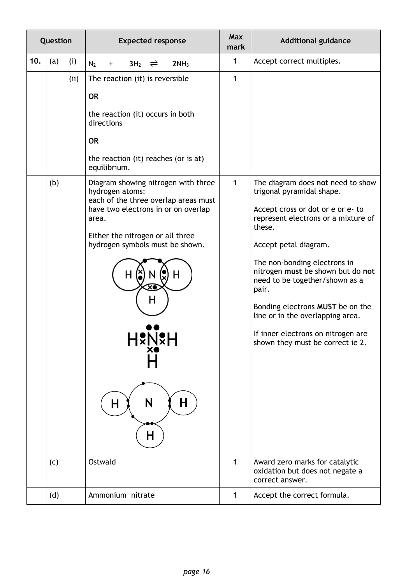| Question |     |      | <b>Expected response</b>                                                                                                                                                                                                                                   | <b>Max</b><br><b>Additional guidance</b><br>mark |                                                                                                                                                                                                                                                                                                                                                                                                                                                 |
|----------|-----|------|------------------------------------------------------------------------------------------------------------------------------------------------------------------------------------------------------------------------------------------------------------|--------------------------------------------------|-------------------------------------------------------------------------------------------------------------------------------------------------------------------------------------------------------------------------------------------------------------------------------------------------------------------------------------------------------------------------------------------------------------------------------------------------|
| 10.      | (a) | (i)  | N <sub>2</sub><br>$3H_2 \rightleftharpoons$<br>2NH <sub>3</sub><br>$\ddot{}$                                                                                                                                                                               | 1                                                | Accept correct multiples.                                                                                                                                                                                                                                                                                                                                                                                                                       |
|          |     | (ii) | The reaction (it) is reversible<br><b>OR</b><br>the reaction (it) occurs in both<br>directions<br><b>OR</b><br>the reaction (it) reaches (or is at)<br>equilibrium.                                                                                        | 1                                                |                                                                                                                                                                                                                                                                                                                                                                                                                                                 |
|          | (b) |      | Diagram showing nitrogen with three<br>hydrogen atoms:<br>each of the three overlap areas must<br>have two electrons in or on overlap<br>area.<br>Either the nitrogen or all three<br>hydrogen symbols must be shown.<br>Н<br>Н<br>XO<br>N<br>H.<br>H<br>H | 1                                                | The diagram does not need to show<br>trigonal pyramidal shape.<br>Accept cross or dot or e or e- to<br>represent electrons or a mixture of<br>these.<br>Accept petal diagram.<br>The non-bonding electrons in<br>nitrogen must be shown but do not<br>need to be together/shown as a<br>pair.<br>Bonding electrons MUST be on the<br>line or in the overlapping area.<br>If inner electrons on nitrogen are<br>shown they must be correct ie 2. |
|          | (c) |      | Ostwald                                                                                                                                                                                                                                                    | 1                                                | Award zero marks for catalytic<br>oxidation but does not negate a<br>correct answer.                                                                                                                                                                                                                                                                                                                                                            |
|          | (d) |      | Ammonium nitrate                                                                                                                                                                                                                                           | 1                                                | Accept the correct formula.                                                                                                                                                                                                                                                                                                                                                                                                                     |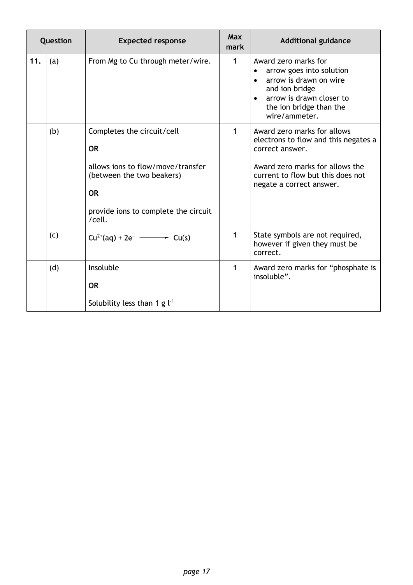| Question |     | <b>Expected response</b>                                                                                                                                                 | Max<br>mark  | <b>Additional guidance</b>                                                                                                                                                                     |  |
|----------|-----|--------------------------------------------------------------------------------------------------------------------------------------------------------------------------|--------------|------------------------------------------------------------------------------------------------------------------------------------------------------------------------------------------------|--|
| 11.      | (a) | From Mg to Cu through meter/wire.                                                                                                                                        | $\mathbf{1}$ | Award zero marks for<br>arrow goes into solution<br>arrow is drawn on wire<br>$\bullet$<br>and ion bridge<br>arrow is drawn closer to<br>$\bullet$<br>the ion bridge than the<br>wire/ammeter. |  |
|          | (b) | Completes the circuit/cell<br><b>OR</b><br>allows jons to flow/move/transfer<br>(between the two beakers)<br><b>OR</b><br>provide ions to complete the circuit<br>/cell. | 1            | Award zero marks for allows<br>electrons to flow and this negates a<br>correct answer.<br>Award zero marks for allows the<br>current to flow but this does not<br>negate a correct answer.     |  |
|          | (c) | $Cu^{2+}(aq) + 2e^ \longrightarrow$ $Cu(s)$                                                                                                                              | 1            | State symbols are not required,<br>however if given they must be<br>correct.                                                                                                                   |  |
|          | (d) | Insoluble<br><b>OR</b><br>Solubility less than 1 g $l^{-1}$                                                                                                              | 1            | Award zero marks for "phosphate is<br>insoluble".                                                                                                                                              |  |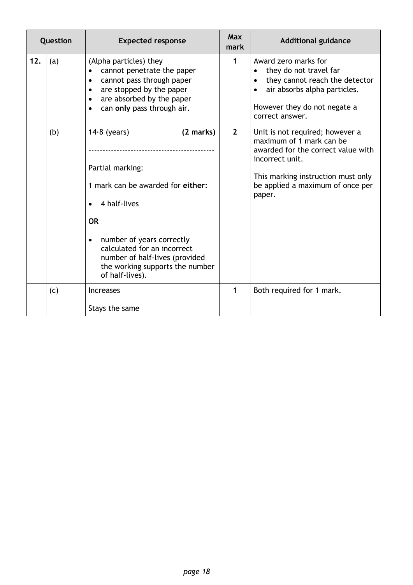| Question |     | <b>Expected response</b>                                                                                                                                                                                                                                                                        | <b>Max</b><br>mark | <b>Additional guidance</b>                                                                                                                                                                               |
|----------|-----|-------------------------------------------------------------------------------------------------------------------------------------------------------------------------------------------------------------------------------------------------------------------------------------------------|--------------------|----------------------------------------------------------------------------------------------------------------------------------------------------------------------------------------------------------|
| 12.      | (a) | (Alpha particles) they<br>cannot penetrate the paper<br>$\bullet$<br>cannot pass through paper<br>$\bullet$<br>are stopped by the paper<br>$\bullet$<br>are absorbed by the paper<br>$\bullet$<br>can only pass through air.<br>$\bullet$                                                       | $\mathbf{1}$       | Award zero marks for<br>they do not travel far<br>they cannot reach the detector<br>air absorbs alpha particles.<br>$\bullet$<br>However they do not negate a<br>correct answer.                         |
|          | (b) | $14.8$ (years)<br>(2 marks)<br>Partial marking:<br>1 mark can be awarded for either:<br>4 half-lives<br>$\bullet$<br><b>OR</b><br>number of years correctly<br>$\bullet$<br>calculated for an incorrect<br>number of half-lives (provided<br>the working supports the number<br>of half-lives). | $\overline{2}$     | Unit is not required; however a<br>maximum of 1 mark can be<br>awarded for the correct value with<br>incorrect unit.<br>This marking instruction must only<br>be applied a maximum of once per<br>paper. |
|          | (c) | <b>Increases</b><br>Stays the same                                                                                                                                                                                                                                                              | $\mathbf{1}$       | Both required for 1 mark.                                                                                                                                                                                |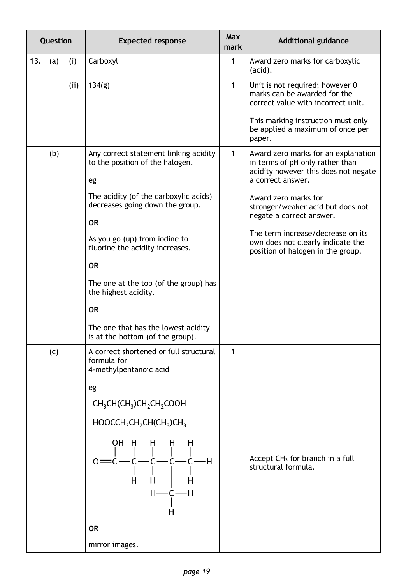| Question |     |      | <b>Expected response</b>                                                                                                                                                                                                                                                                                                                                                                                          | <b>Max</b><br>mark | <b>Additional guidance</b>                                                                                     |
|----------|-----|------|-------------------------------------------------------------------------------------------------------------------------------------------------------------------------------------------------------------------------------------------------------------------------------------------------------------------------------------------------------------------------------------------------------------------|--------------------|----------------------------------------------------------------------------------------------------------------|
| 13.      | (a) | (i)  | Carboxyl                                                                                                                                                                                                                                                                                                                                                                                                          | $\mathbf{1}$       | Award zero marks for carboxylic<br>(acid).                                                                     |
|          |     | (ii) | 134(g)                                                                                                                                                                                                                                                                                                                                                                                                            | $\mathbf{1}$       | Unit is not required; however 0<br>marks can be awarded for the<br>correct value with incorrect unit.          |
|          |     |      |                                                                                                                                                                                                                                                                                                                                                                                                                   |                    | This marking instruction must only<br>be applied a maximum of once per<br>paper.                               |
|          | (b) |      | Any correct statement linking acidity<br>to the position of the halogen.                                                                                                                                                                                                                                                                                                                                          | $\mathbf{1}$       | Award zero marks for an explanation<br>in terms of pH only rather than<br>acidity however this does not negate |
|          |     |      | eg                                                                                                                                                                                                                                                                                                                                                                                                                |                    | a correct answer.                                                                                              |
|          |     |      | The acidity (of the carboxylic acids)<br>decreases going down the group.                                                                                                                                                                                                                                                                                                                                          |                    | Award zero marks for<br>stronger/weaker acid but does not<br>negate a correct answer.                          |
|          |     |      | <b>OR</b>                                                                                                                                                                                                                                                                                                                                                                                                         |                    | The term increase/decrease on its                                                                              |
|          |     |      | As you go (up) from iodine to<br>fluorine the acidity increases.                                                                                                                                                                                                                                                                                                                                                  |                    | own does not clearly indicate the<br>position of halogen in the group.                                         |
|          |     |      | <b>OR</b>                                                                                                                                                                                                                                                                                                                                                                                                         |                    |                                                                                                                |
|          |     |      | The one at the top (of the group) has<br>the highest acidity.                                                                                                                                                                                                                                                                                                                                                     |                    |                                                                                                                |
|          |     |      | <b>OR</b>                                                                                                                                                                                                                                                                                                                                                                                                         |                    |                                                                                                                |
|          |     |      | The one that has the lowest acidity<br>is at the bottom (of the group).                                                                                                                                                                                                                                                                                                                                           |                    |                                                                                                                |
|          | (c) |      | A correct shortened or full structural<br>formula for<br>4-methylpentanoic acid                                                                                                                                                                                                                                                                                                                                   | $\mathbf{1}$       |                                                                                                                |
|          |     |      | eg                                                                                                                                                                                                                                                                                                                                                                                                                |                    |                                                                                                                |
|          |     |      | $CH3CH(CH3)CH2CH2COOH$                                                                                                                                                                                                                                                                                                                                                                                            |                    |                                                                                                                |
|          |     |      | $HOOCCH_2CH_2CH(CH_3)CH_3$                                                                                                                                                                                                                                                                                                                                                                                        |                    |                                                                                                                |
|          |     |      | OH H<br>H<br>H<br>$\frac{1}{2}$ $\frac{1}{2}$ $\frac{1}{2}$ $\frac{1}{2}$ $\frac{1}{2}$ $\frac{1}{2}$ $\frac{1}{2}$ $\frac{1}{2}$ $\frac{1}{2}$ $\frac{1}{2}$ $\frac{1}{2}$ $\frac{1}{2}$ $\frac{1}{2}$ $\frac{1}{2}$ $\frac{1}{2}$ $\frac{1}{2}$ $\frac{1}{2}$ $\frac{1}{2}$ $\frac{1}{2}$ $\frac{1}{2}$ $\frac{1}{2}$ $\frac{1}{2}$<br>$0 = C -$<br>$\begin{bmatrix} 1 & 1 \end{bmatrix}$<br>H<br>H<br>$H$ —C—H |                    | Accept CH <sub>3</sub> for branch in a full<br>structural formula.                                             |
|          |     |      | н                                                                                                                                                                                                                                                                                                                                                                                                                 |                    |                                                                                                                |
|          |     |      | <b>OR</b>                                                                                                                                                                                                                                                                                                                                                                                                         |                    |                                                                                                                |
|          |     |      | mirror images.                                                                                                                                                                                                                                                                                                                                                                                                    |                    |                                                                                                                |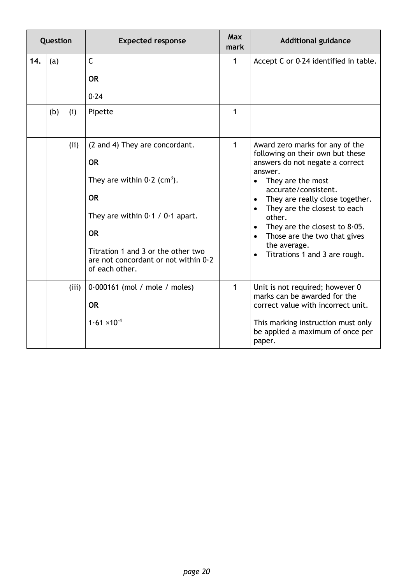| Question |     |       | <b>Expected response</b>                                                                                                                                                                                                                                 | <b>Max</b><br>mark | <b>Additional guidance</b>                                                                                                                                                                                                                                                                                                                                                                                                                     |
|----------|-----|-------|----------------------------------------------------------------------------------------------------------------------------------------------------------------------------------------------------------------------------------------------------------|--------------------|------------------------------------------------------------------------------------------------------------------------------------------------------------------------------------------------------------------------------------------------------------------------------------------------------------------------------------------------------------------------------------------------------------------------------------------------|
| 14.      | (a) |       | $\mathsf{C}$<br><b>OR</b><br>0.24                                                                                                                                                                                                                        | $\mathbf{1}$       | Accept C or 0.24 identified in table.                                                                                                                                                                                                                                                                                                                                                                                                          |
|          | (b) | (i)   | Pipette                                                                                                                                                                                                                                                  | 1                  |                                                                                                                                                                                                                                                                                                                                                                                                                                                |
|          |     | (ii)  | (2 and 4) They are concordant.<br><b>OR</b><br>They are within $0.2$ (cm <sup>3</sup> ).<br><b>OR</b><br>They are within $0.1 / 0.1$ apart.<br><b>OR</b><br>Titration 1 and 3 or the other two<br>are not concordant or not within 0.2<br>of each other. | $\mathbf{1}$       | Award zero marks for any of the<br>following on their own but these<br>answers do not negate a correct<br>answer.<br>They are the most<br>$\bullet$<br>accurate/consistent.<br>They are really close together.<br>$\bullet$<br>They are the closest to each<br>$\bullet$<br>other.<br>They are the closest to $8.05$ .<br>$\bullet$<br>Those are the two that gives<br>$\bullet$<br>the average.<br>Titrations 1 and 3 are rough.<br>$\bullet$ |
|          |     | (iii) | $0.000161$ (mol / mole / moles)<br><b>OR</b><br>$1.61 \times 10^{-4}$                                                                                                                                                                                    | $\mathbf{1}$       | Unit is not required; however 0<br>marks can be awarded for the<br>correct value with incorrect unit.<br>This marking instruction must only<br>be applied a maximum of once per<br>paper.                                                                                                                                                                                                                                                      |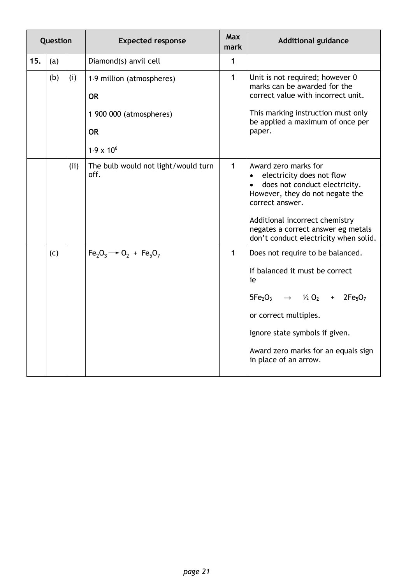| Question |     |     | <b>Expected response</b>                                                                              | <b>Max</b><br>mark | <b>Additional guidance</b>                                                                                                                                                                                                                                                          |  |
|----------|-----|-----|-------------------------------------------------------------------------------------------------------|--------------------|-------------------------------------------------------------------------------------------------------------------------------------------------------------------------------------------------------------------------------------------------------------------------------------|--|
| 15.      | (a) |     | Diamond(s) anvil cell                                                                                 | 1                  |                                                                                                                                                                                                                                                                                     |  |
|          | (b) | (i) | 1.9 million (atmospheres)<br><b>OR</b><br>1 900 000 (atmospheres)<br><b>OR</b><br>$1.9 \times 10^{6}$ | 1                  | Unit is not required; however 0<br>marks can be awarded for the<br>correct value with incorrect unit.<br>This marking instruction must only<br>be applied a maximum of once per<br>paper.                                                                                           |  |
|          |     | (i) | The bulb would not light/would turn<br>off.                                                           | $\mathbf{1}$       | Award zero marks for<br>electricity does not flow<br>$\bullet$<br>does not conduct electricity.<br>$\bullet$<br>However, they do not negate the<br>correct answer.<br>Additional incorrect chemistry<br>negates a correct answer eg metals<br>don't conduct electricity when solid. |  |
|          | (c) |     | $Fe2O3 \rightarrow O2 + Fe5O7$                                                                        | $\mathbf{1}$       | Does not require to be balanced.<br>If balanced it must be correct<br>ie<br>$5Fe_2O_3$ $\rightarrow$ $\frac{1}{2}O_2$ + $2Fe_5O_7$<br>or correct multiples.<br>Ignore state symbols if given.<br>Award zero marks for an equals sign<br>in place of an arrow.                       |  |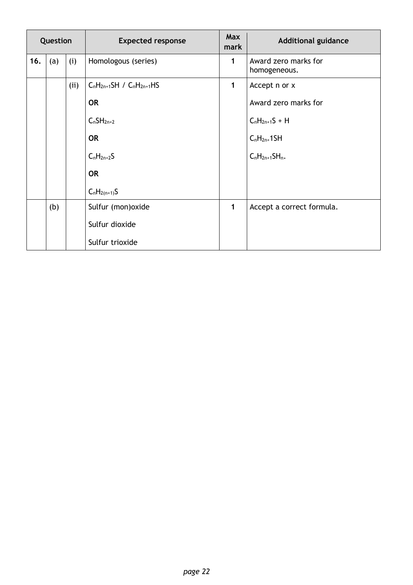| Question |     |      | <b>Expected response</b>        | <b>Max</b><br>mark | <b>Additional guidance</b>           |
|----------|-----|------|---------------------------------|--------------------|--------------------------------------|
| 16.      | (a) | (i)  | Homologous (series)             | 1                  | Award zero marks for<br>homogeneous. |
|          |     | (ii) | $C_nH_{2n+1}SH / C_nH_{2n+1}HS$ | $\mathbf{1}$       | Accept n or x                        |
|          |     |      | <b>OR</b>                       |                    | Award zero marks for                 |
|          |     |      | $C_nSH_{2n+2}$                  |                    | $C_nH_{2n+1}S + H$                   |
|          |     |      | <b>OR</b>                       |                    | $C_nH_{2n+}1SH$                      |
|          |     |      | $C_nH_{2n+2}S$                  |                    | $C_nH_{2n+1}SH_n$ .                  |
|          |     |      | <b>OR</b>                       |                    |                                      |
|          |     |      | $C_nH_{2(n+1)}S$                |                    |                                      |
|          | (b) |      | Sulfur (mon) oxide              | $\mathbf{1}$       | Accept a correct formula.            |
|          |     |      | Sulfur dioxide                  |                    |                                      |
|          |     |      | Sulfur trioxide                 |                    |                                      |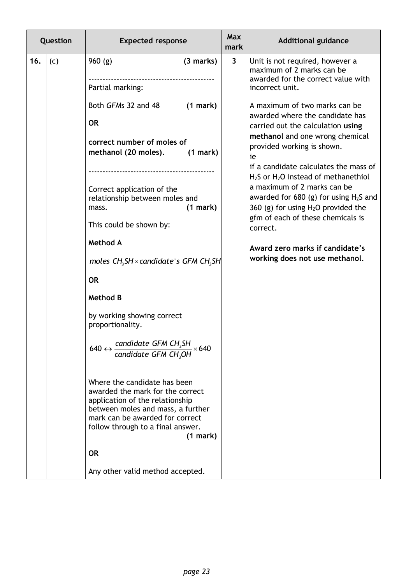| Question |     |  | <b>Expected response</b>                                                                                                                                                                                         |                      | <b>Max</b><br>mark | <b>Additional guidance</b>                                                                                                                                                                                                                                      |
|----------|-----|--|------------------------------------------------------------------------------------------------------------------------------------------------------------------------------------------------------------------|----------------------|--------------------|-----------------------------------------------------------------------------------------------------------------------------------------------------------------------------------------------------------------------------------------------------------------|
| 16.      | (c) |  | 960(g)<br>Partial marking:                                                                                                                                                                                       | $(3$ marks)          | $\mathbf{3}$       | Unit is not required, however a<br>maximum of 2 marks can be<br>awarded for the correct value with<br>incorrect unit.                                                                                                                                           |
|          |     |  | Both GFMs 32 and 48<br><b>OR</b><br>correct number of moles of<br>methanol (20 moles).                                                                                                                           | (1 mark)<br>(1 mark) |                    | A maximum of two marks can be<br>awarded where the candidate has<br>carried out the calculation using<br>methanol and one wrong chemical<br>provided working is shown.<br>ie<br>if a candidate calculates the mass of<br>$H2S$ or $H2O$ instead of methanethiol |
|          |     |  | Correct application of the<br>relationship between moles and<br>mass.<br>This could be shown by:                                                                                                                 | (1 mark)             |                    | a maximum of 2 marks can be<br>awarded for 680 (g) for using $H_2S$ and<br>360 (g) for using $H_2O$ provided the<br>gfm of each of these chemicals is<br>correct.                                                                                               |
|          |     |  | <b>Method A</b><br>moles $CH_3SH \times candidate$ 's GFM CH <sub>3</sub> SH                                                                                                                                     |                      |                    | Award zero marks if candidate's<br>working does not use methanol.                                                                                                                                                                                               |
|          |     |  | <b>OR</b><br><b>Method B</b>                                                                                                                                                                                     |                      |                    |                                                                                                                                                                                                                                                                 |
|          |     |  | by working showing correct<br>proportionality.                                                                                                                                                                   |                      |                    |                                                                                                                                                                                                                                                                 |
|          |     |  | 640 ↔ $\frac{\text{candidate GFM CH}_3\text{SH}}{\text{candidate GFM CH}_3\text{OH}} \times 640$                                                                                                                 |                      |                    |                                                                                                                                                                                                                                                                 |
|          |     |  | Where the candidate has been<br>awarded the mark for the correct<br>application of the relationship<br>between moles and mass, a further<br>mark can be awarded for correct<br>follow through to a final answer. | (1 mark)             |                    |                                                                                                                                                                                                                                                                 |
|          |     |  | <b>OR</b>                                                                                                                                                                                                        |                      |                    |                                                                                                                                                                                                                                                                 |
|          |     |  | Any other valid method accepted.                                                                                                                                                                                 |                      |                    |                                                                                                                                                                                                                                                                 |